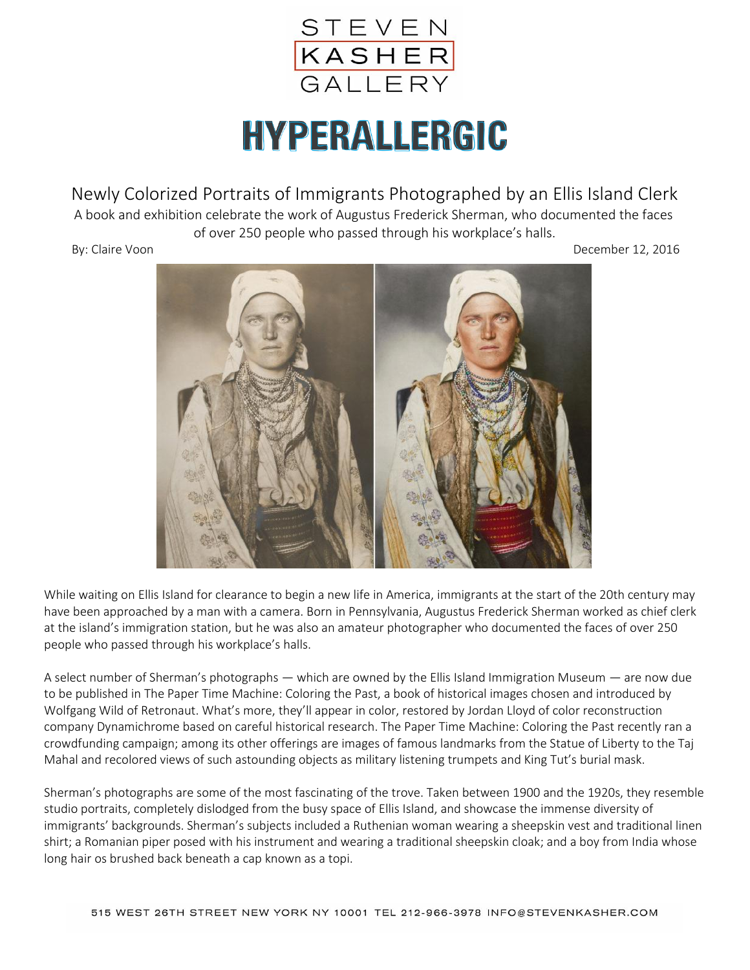

## HYPERALLERGIC

Newly Colorized Portraits of Immigrants Photographed by an Ellis Island Clerk

 A book and exhibition celebrate the work of Augustus Frederick Sherman, who documented the faces of over 250 people who passed through his workplace's halls.

By: Claire Voon December 12, 2016



While waiting on Ellis Island for clearance to begin a new life in America, immigrants at the start of the 20th century may have been approached by a man with a camera. Born in Pennsylvania, Augustus Frederick Sherman worked as chief clerk at the island's immigration station, but he was also an amateur photographer who documented the faces of over 250 people who passed through his workplace's halls.

A select number of Sherman's photographs — which are owned by the Ellis Island Immigration Museum — are now due to be published in The Paper Time Machine: Coloring the Past, a book of historical images chosen and introduced by Wolfgang Wild of Retronaut. What's more, they'll appear in color, restored by Jordan Lloyd of color reconstruction company Dynamichrome based on careful historical research. The Paper Time Machine: Coloring the Past recently ran a crowdfunding campaign; among its other offerings are images of famous landmarks from the Statue of Liberty to the Taj Mahal and recolored views of such astounding objects as military listening trumpets and King Tut's burial mask.

Sherman's photographs are some of the most fascinating of the trove. Taken between 1900 and the 1920s, they resemble studio portraits, completely dislodged from the busy space of Ellis Island, and showcase the immense diversity of immigrants' backgrounds. Sherman's subjects included a Ruthenian woman wearing a sheepskin vest and traditional linen shirt; a Romanian piper posed with his instrument and wearing a traditional sheepskin cloak; and a boy from India whose long hair os brushed back beneath a cap known as a topi.